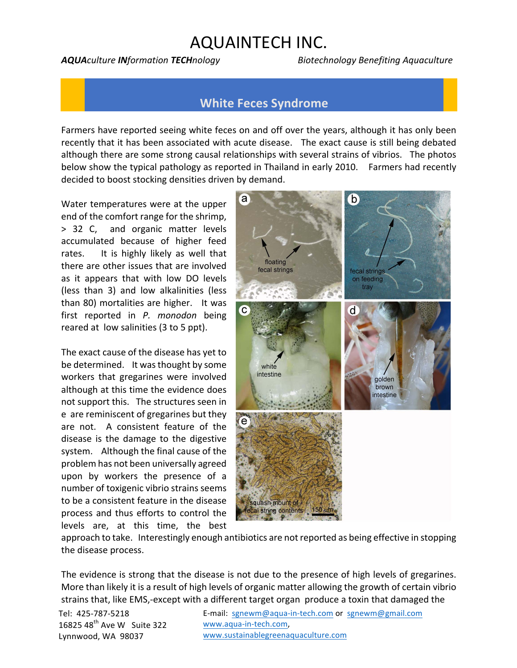## **AQUAINTECH INC.**

*AQUAculture INformation TECHnology Biotechnology Benefiting Aquaculture*

## **White Feces Syndrome**

Farmers have reported seeing white feces on and off over the years, although it has only been recently that it has been associated with acute disease. The exact cause is still being debated although there are some strong causal relationships with several strains of vibrios. The photos below show the typical pathology as reported in Thailand in early 2010. Farmers had recently decided to boost stocking densities driven by demand.

Water temperatures were at the upper end of the comfort range for the shrimp, > 32 C, and organic matter levels accumulated because of higher feed rates. It is highly likely as well that there are other issues that are involved as it appears that with low DO levels (less than 3) and low alkalinities (less than 80) mortalities are higher. It was first reported in *P. monodon* being reared at low salinities (3 to 5 ppt).

The exact cause of the disease has yet to be determined. It was thought by some workers that gregarines were involved although at this time the evidence does not support this. The structures seen in e are reminiscent of gregarines but they are not. A consistent feature of the disease is the damage to the digestive system. Although the final cause of the problem has not been universally agreed upon by workers the presence of a number of toxigenic vibrio strains seems to be a consistent feature in the disease process and thus efforts to control the levels are, at this time, the best



approach to take. Interestingly enough antibiotics are not reported as being effective in stopping the disease process.

The evidence is strong that the disease is not due to the presence of high levels of gregarines. More than likely it is a result of high levels of organic matter allowing the growth of certain vibrio strains that, like EMS,-except with a different target organ produce a toxin that damaged the

Tel: 425-787-5218  $16825$  48<sup>th</sup> Ave W Suite 322 Lynnwood, WA 98037

E-mail: sgnewm@aqua-in-tech.com or sgnewm@gmail.com www.aqua-in-tech.com, www.sustainablegreenaquaculture.com